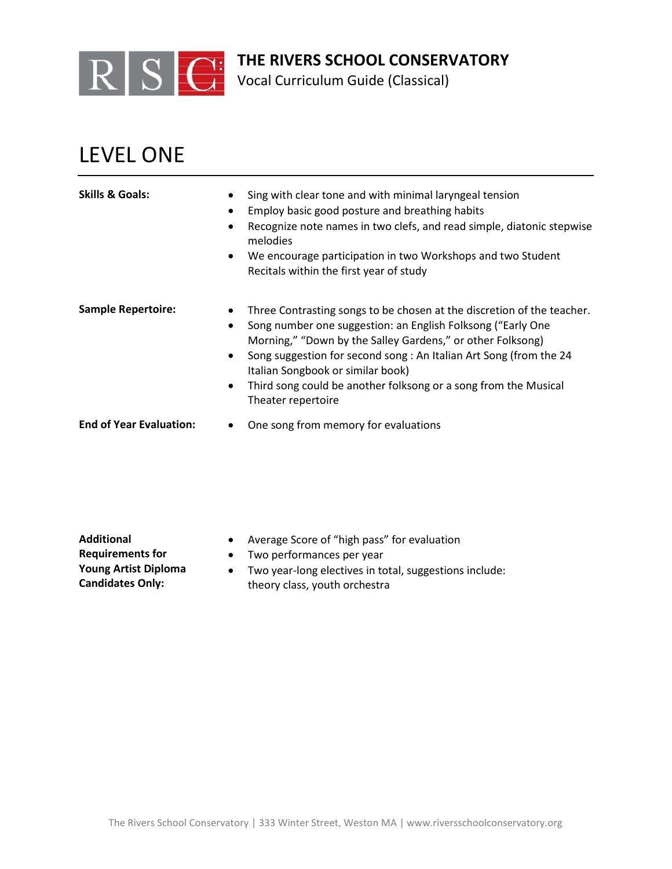

Vocal Curriculum Guide (Classical)

## LEVEL ONE

| <b>Skills &amp; Goals:</b>     | Sing with clear tone and with minimal laryngeal tension<br>Employ basic good posture and breathing habits<br>$\bullet$<br>Recognize note names in two clefs, and read simple, diatonic stepwise<br>melodies<br>We encourage participation in two Workshops and two Student<br>$\bullet$<br>Recitals within the first year of study                                                                                               |
|--------------------------------|----------------------------------------------------------------------------------------------------------------------------------------------------------------------------------------------------------------------------------------------------------------------------------------------------------------------------------------------------------------------------------------------------------------------------------|
| <b>Sample Repertoire:</b>      | Three Contrasting songs to be chosen at the discretion of the teacher.<br>Song number one suggestion: an English Folksong ("Early One<br>$\bullet$<br>Morning," "Down by the Salley Gardens," or other Folksong)<br>Song suggestion for second song: An Italian Art Song (from the 24<br>$\bullet$<br>Italian Songbook or similar book)<br>Third song could be another folksong or a song from the Musical<br>Theater repertoire |
| <b>End of Year Evaluation:</b> | One song from memory for evaluations                                                                                                                                                                                                                                                                                                                                                                                             |

**Additional Requirements for Young Artist Diploma Candidates Only:**

- Average Score of "high pass" for evaluation
- Two performances per year
- Two year-long electives in total, suggestions include: theory class, youth orchestra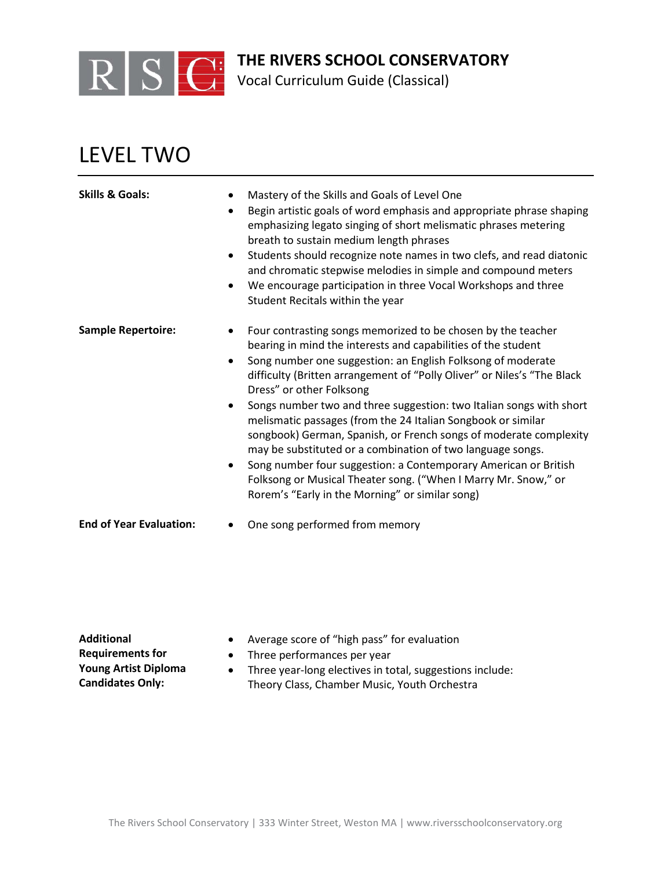

Vocal Curriculum Guide (Classical)

## LEVEL TWO

| <b>Skills &amp; Goals:</b>     | Mastery of the Skills and Goals of Level One<br>$\bullet$<br>Begin artistic goals of word emphasis and appropriate phrase shaping<br>$\bullet$<br>emphasizing legato singing of short melismatic phrases metering<br>breath to sustain medium length phrases<br>Students should recognize note names in two clefs, and read diatonic<br>$\bullet$<br>and chromatic stepwise melodies in simple and compound meters<br>We encourage participation in three Vocal Workshops and three<br>$\bullet$<br>Student Recitals within the year                                                                                                                                                                                                                                                                         |
|--------------------------------|--------------------------------------------------------------------------------------------------------------------------------------------------------------------------------------------------------------------------------------------------------------------------------------------------------------------------------------------------------------------------------------------------------------------------------------------------------------------------------------------------------------------------------------------------------------------------------------------------------------------------------------------------------------------------------------------------------------------------------------------------------------------------------------------------------------|
| <b>Sample Repertoire:</b>      | Four contrasting songs memorized to be chosen by the teacher<br>bearing in mind the interests and capabilities of the student<br>Song number one suggestion: an English Folksong of moderate<br>$\bullet$<br>difficulty (Britten arrangement of "Polly Oliver" or Niles's "The Black<br>Dress" or other Folksong<br>Songs number two and three suggestion: two Italian songs with short<br>$\bullet$<br>melismatic passages (from the 24 Italian Songbook or similar<br>songbook) German, Spanish, or French songs of moderate complexity<br>may be substituted or a combination of two language songs.<br>Song number four suggestion: a Contemporary American or British<br>$\bullet$<br>Folksong or Musical Theater song. ("When I Marry Mr. Snow," or<br>Rorem's "Early in the Morning" or similar song) |
| <b>End of Year Evaluation:</b> | One song performed from memory                                                                                                                                                                                                                                                                                                                                                                                                                                                                                                                                                                                                                                                                                                                                                                               |

**Additional Requirements for Young Artist Diploma Candidates Only:**

- Average score of "high pass" for evaluation
- Three performances per year
- Three year-long electives in total, suggestions include: Theory Class, Chamber Music, Youth Orchestra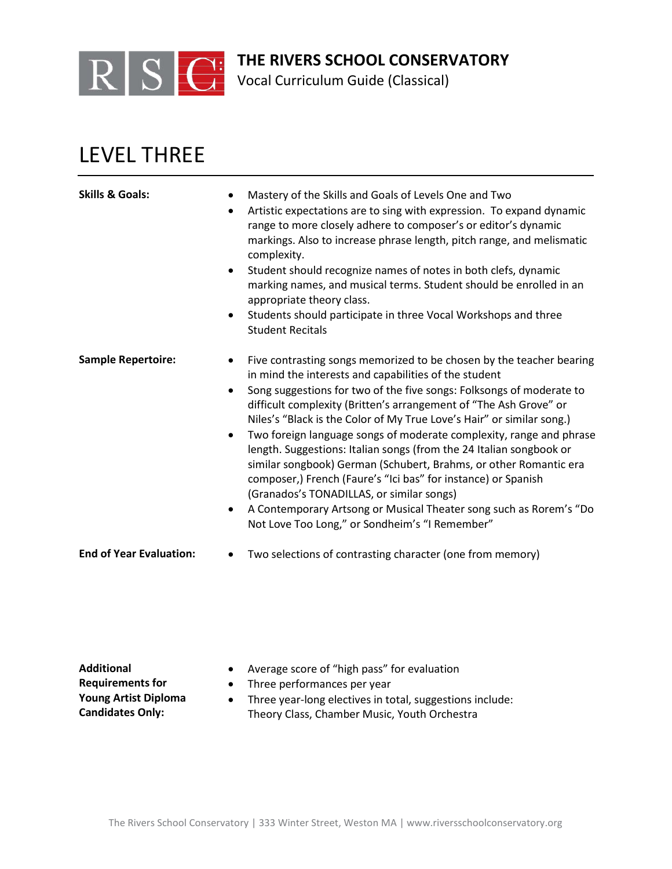

Vocal Curriculum Guide (Classical)

## LEVEL THREE

| <b>Skills &amp; Goals:</b>     | Mastery of the Skills and Goals of Levels One and Two<br>$\bullet$<br>Artistic expectations are to sing with expression. To expand dynamic<br>$\bullet$<br>range to more closely adhere to composer's or editor's dynamic<br>markings. Also to increase phrase length, pitch range, and melismatic<br>complexity.<br>Student should recognize names of notes in both clefs, dynamic<br>$\bullet$<br>marking names, and musical terms. Student should be enrolled in an<br>appropriate theory class.<br>Students should participate in three Vocal Workshops and three<br>$\bullet$<br><b>Student Recitals</b>                                                                                                                                                                                                                                       |
|--------------------------------|-----------------------------------------------------------------------------------------------------------------------------------------------------------------------------------------------------------------------------------------------------------------------------------------------------------------------------------------------------------------------------------------------------------------------------------------------------------------------------------------------------------------------------------------------------------------------------------------------------------------------------------------------------------------------------------------------------------------------------------------------------------------------------------------------------------------------------------------------------|
| <b>Sample Repertoire:</b>      | Five contrasting songs memorized to be chosen by the teacher bearing<br>in mind the interests and capabilities of the student<br>Song suggestions for two of the five songs: Folksongs of moderate to<br>$\bullet$<br>difficult complexity (Britten's arrangement of "The Ash Grove" or<br>Niles's "Black is the Color of My True Love's Hair" or similar song.)<br>Two foreign language songs of moderate complexity, range and phrase<br>$\bullet$<br>length. Suggestions: Italian songs (from the 24 Italian songbook or<br>similar songbook) German (Schubert, Brahms, or other Romantic era<br>composer,) French (Faure's "Ici bas" for instance) or Spanish<br>(Granados's TONADILLAS, or similar songs)<br>A Contemporary Artsong or Musical Theater song such as Rorem's "Do<br>$\bullet$<br>Not Love Too Long," or Sondheim's "I Remember" |
| <b>End of Year Evaluation:</b> | Two selections of contrasting character (one from memory)                                                                                                                                                                                                                                                                                                                                                                                                                                                                                                                                                                                                                                                                                                                                                                                           |

**Additional Requirements for Young Artist Diploma Candidates Only:**

- Average score of "high pass" for evaluation
- Three performances per year
- Three year-long electives in total, suggestions include: Theory Class, Chamber Music, Youth Orchestra